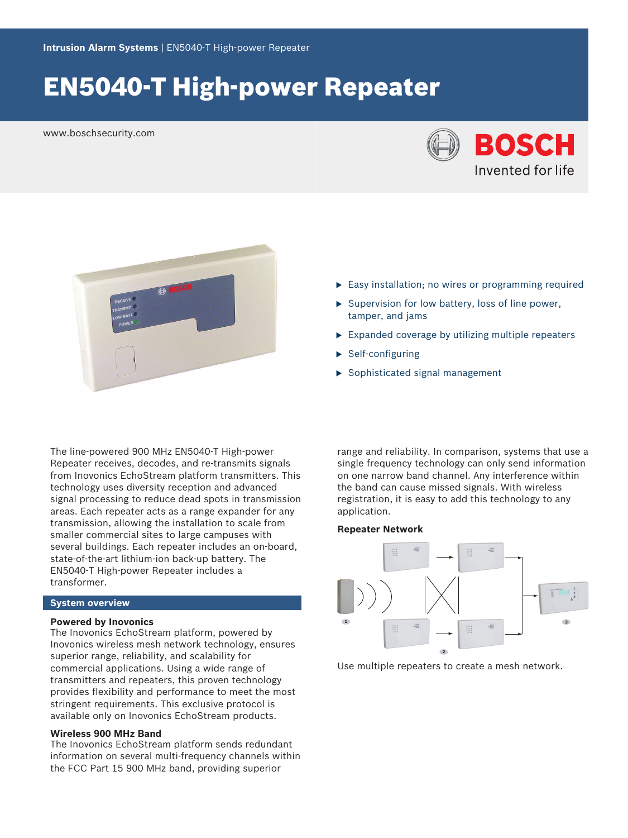# EN5040-T High-power Repeater

www.boschsecurity.com





- $\blacktriangleright$  Easy installation; no wires or programming required
- $\triangleright$  Supervision for low battery, loss of line power, tamper, and jams
- $\triangleright$  Expanded coverage by utilizing multiple repeaters
- $\blacktriangleright$  Self-configuring
- $\blacktriangleright$  Sophisticated signal management

The line-powered 900 MHz EN5040-T High-power Repeater receives, decodes, and re-transmits signals from Inovonics EchoStream platform transmitters. This technology uses diversity reception and advanced signal processing to reduce dead spots in transmission areas. Each repeater acts as a range expander for any transmission, allowing the installation to scale from smaller commercial sites to large campuses with several buildings. Each repeater includes an on-board, state-of-the-art lithium-ion back-up battery. The EN5040‑T High‑power Repeater includes a transformer.

# **System overview**

#### **Powered by Inovonics**

The Inovonics EchoStream platform, powered by Inovonics wireless mesh network technology, ensures superior range, reliability, and scalability for commercial applications. Using a wide range of transmitters and repeaters, this proven technology provides flexibility and performance to meet the most stringent requirements. This exclusive protocol is available only on Inovonics EchoStream products.

# **Wireless 900 MHz Band**

The Inovonics EchoStream platform sends redundant information on several multi-frequency channels within the FCC Part 15 900 MHz band, providing superior

range and reliability. In comparison, systems that use a single frequency technology can only send information on one narrow band channel. Any interference within the band can cause missed signals. With wireless registration, it is easy to add this technology to any application.

#### **Repeater Network**



Use multiple repeaters to create a mesh network.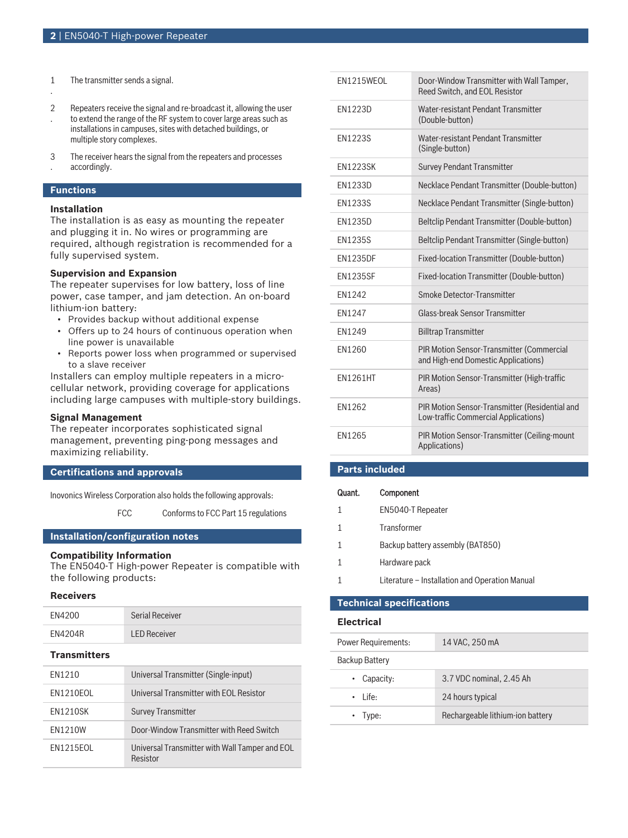- 1 The transmitter sends a signal.
- 2 . Repeaters receive the signal and re-broadcast it, allowing the user to extend the range of the RF system to cover large areas such as installations in campuses, sites with detached buildings, or multiple story complexes.
- 3 . The receiver hears the signal from the repeaters and processes accordingly.

# **Functions**

.

### **Installation**

The installation is as easy as mounting the repeater and plugging it in. No wires or programming are required, although registration is recommended for a fully supervised system.

# **Supervision and Expansion**

The repeater supervises for low battery, loss of line power, case tamper, and jam detection. An on-board lithium-ion battery:

- Provides backup without additional expense
- Offers up to 24 hours of continuous operation when line power is unavailable
- Reports power loss when programmed or supervised to a slave receiver

Installers can employ multiple repeaters in a microcellular network, providing coverage for applications including large campuses with multiple-story buildings.

# **Signal Management**

The repeater incorporates sophisticated signal management, preventing ping-pong messages and maximizing reliability.

# **Certifications and approvals**

Inovonics Wireless Corporation also holds the following approvals:

FCC Conforms to FCC Part 15 regulations

### **Installation/configuration notes**

#### **Compatibility Information**

The EN5040-T High-power Repeater is compatible with the following products:

### **Receivers**

| FN4200              | Serial Receiver                                            |
|---------------------|------------------------------------------------------------|
| <b>FN4204R</b>      | <b>LED Receiver</b>                                        |
| <b>Transmitters</b> |                                                            |
| <b>FN1210</b>       | Universal Transmitter (Single-input)                       |
| <b>FN1210FOL</b>    | Universal Transmitter with FOL Resistor                    |
| <b>EN1210SK</b>     | <b>Survey Transmitter</b>                                  |
| <b>FN1210W</b>      | Door-Window Transmitter with Reed Switch                   |
| <b>FN1215FOL</b>    | Universal Transmitter with Wall Tamper and EOL<br>Resistor |

| EN1215WEOL      | Door-Window Transmitter with Wall Tamper,<br>Reed Switch, and EOL Resistor              |
|-----------------|-----------------------------------------------------------------------------------------|
| EN1223D         | Water-resistant Pendant Transmitter<br>(Double-button)                                  |
| <b>EN1223S</b>  | Water-resistant Pendant Transmitter<br>(Single-button)                                  |
| <b>FN1223SK</b> | <b>Survey Pendant Transmitter</b>                                                       |
| <b>FN1233D</b>  | Necklace Pendant Transmitter (Double-button)                                            |
| <b>EN1233S</b>  | Necklace Pendant Transmitter (Single-button)                                            |
| EN1235D         | Beltclip Pendant Transmitter (Double-button)                                            |
| <b>EN1235S</b>  | Beltclip Pendant Transmitter (Single-button)                                            |
| <b>EN1235DF</b> | Fixed-location Transmitter (Double-button)                                              |
| <b>FN1235SF</b> | Fixed-location Transmitter (Double-button)                                              |
| EN1242          | Smoke Detector-Transmitter                                                              |
| EN1247          | <b>Glass-break Sensor Transmitter</b>                                                   |
| EN1249          | <b>Billtrap Transmitter</b>                                                             |
| EN1260          | <b>PIR Motion Sensor-Transmitter (Commercial</b><br>and High-end Domestic Applications) |
| <b>FN1261HT</b> | PIR Motion Sensor-Transmitter (High-traffic<br>Areas)                                   |
| FN1262          | PIR Motion Sensor-Transmitter (Residential and<br>Low-traffic Commercial Applications)  |
| EN1265          | <b>PIR Motion Sensor-Transmitter (Ceiling-mount</b><br>Applications)                    |

# **Parts included**

| Quant. | Component                                     |
|--------|-----------------------------------------------|
| 1      | <b>EN5040-T Repeater</b>                      |
| 1      | Transformer                                   |
|        | Backup battery assembly (BAT850)              |
| 1      | Hardware pack                                 |
|        | Literature – Installation and Operation Manua |
|        |                                               |

# **Technical specifications**

# **Electrical**

| <b>Power Requirements:</b> | 14 VAC, 250 mA                   |
|----------------------------|----------------------------------|
| Backup Battery             |                                  |
| $\cdot$ Capacity:          | 3.7 VDC nominal, 2.45 Ah         |
| $\cdot$ life:              | 24 hours typical                 |
| $\cdot$ Type:              | Rechargeable lithium-ion battery |